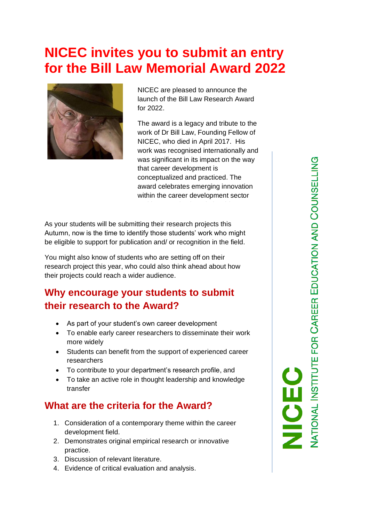# **NICEC invites you to submit an entry for the Bill Law Memorial Award 2022**



NICEC are pleased to announce the launch of the Bill Law Research Award for 2022.

The award is a legacy and tribute to the work of Dr Bill Law, Founding Fellow of NICEC, who died in April 2017. His work was recognised internationally and was significant in its impact on the way that career development is conceptualized and practiced. The award celebrates emerging innovation within the career development sector

As your students will be submitting their research projects this Autumn, now is the time to identify those students' work who might be eligible to support for publication and/ or recognition in the field.

You might also know of students who are setting off on their research project this year, who could also think ahead about how their projects could reach a wider audience.

## **Why encourage your students to submit their research to the Award?**

- As part of your student's own career development
- To enable early career researchers to disseminate their work more widely
- Students can benefit from the support of experienced career researchers
- To contribute to your department's research profile, and
- To take an active role in thought leadership and knowledge transfer

## **What are the criteria for the Award?**

- 1. Consideration of a contemporary theme within the career development field.
- 2. Demonstrates original empirical research or innovative practice.
- 3. Discussion of relevant literature.
- 4. Evidence of critical evaluation and analysis.